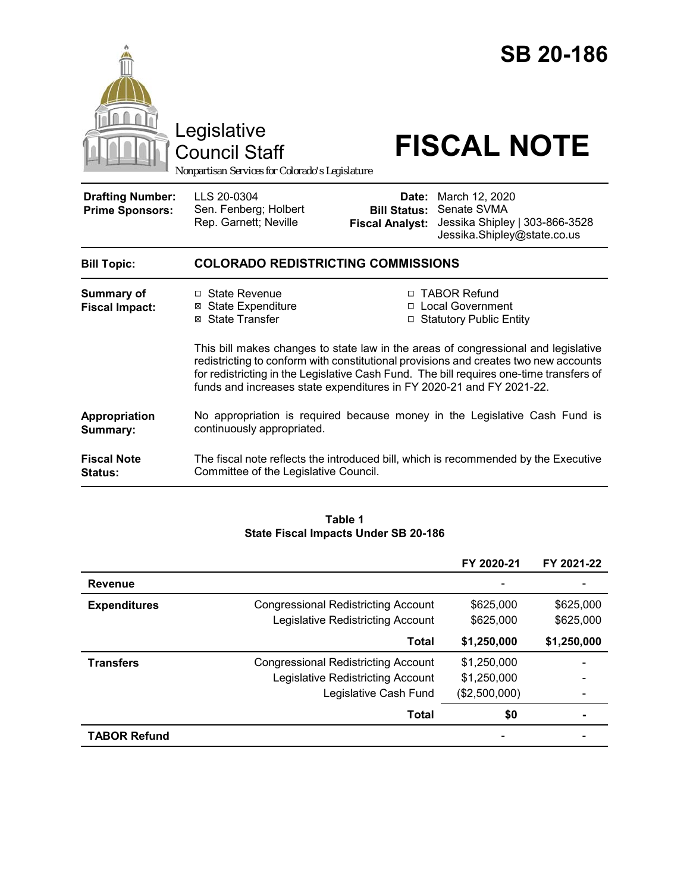

**Fiscal Note Status:** The fiscal note reflects the introduced bill, which is recommended by the Executive Committee of the Legislative Council.

#### **Table 1 State Fiscal Impacts Under SB 20-186**

|                     |                                            | FY 2020-21    | FY 2021-22  |
|---------------------|--------------------------------------------|---------------|-------------|
| <b>Revenue</b>      |                                            |               |             |
| <b>Expenditures</b> | <b>Congressional Redistricting Account</b> | \$625,000     | \$625,000   |
|                     | <b>Legislative Redistricting Account</b>   | \$625,000     | \$625,000   |
|                     | Total                                      | \$1,250,000   | \$1,250,000 |
| <b>Transfers</b>    | <b>Congressional Redistricting Account</b> | \$1,250,000   |             |
|                     | Legislative Redistricting Account          | \$1,250,000   |             |
|                     | Legislative Cash Fund                      | (\$2,500,000) |             |
|                     | Total                                      | \$0           |             |
| <b>TABOR Refund</b> |                                            |               |             |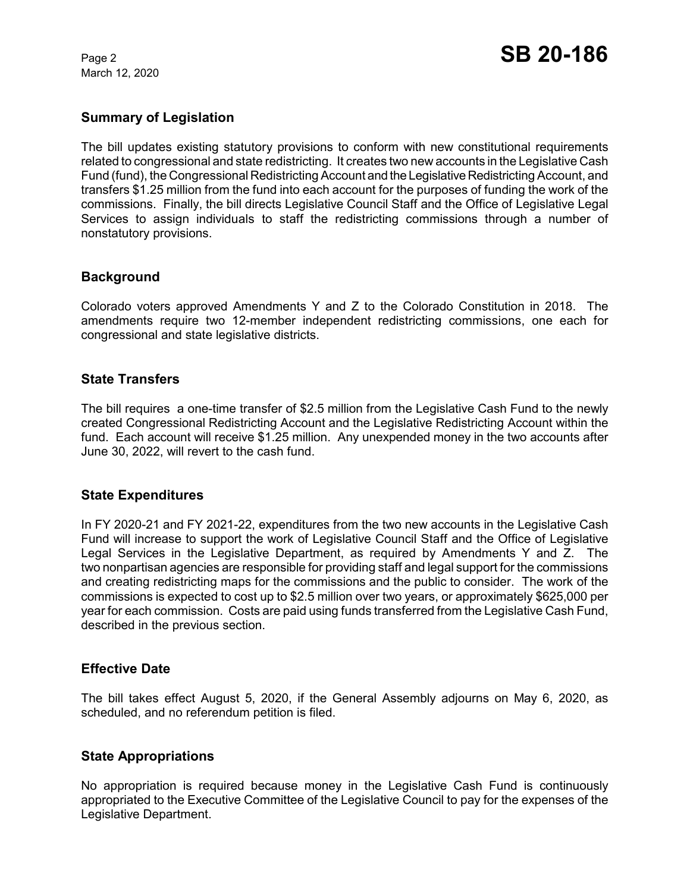March 12, 2020

# **Summary of Legislation**

The bill updates existing statutory provisions to conform with new constitutional requirements related to congressional and state redistricting. It creates two new accounts in the Legislative Cash Fund (fund), the Congressional Redistricting Account and the Legislative Redistricting Account, and transfers \$1.25 million from the fund into each account for the purposes of funding the work of the commissions. Finally, the bill directs Legislative Council Staff and the Office of Legislative Legal Services to assign individuals to staff the redistricting commissions through a number of nonstatutory provisions.

## **Background**

Colorado voters approved Amendments Y and Z to the Colorado Constitution in 2018. The amendments require two 12-member independent redistricting commissions, one each for congressional and state legislative districts.

### **State Transfers**

The bill requires a one-time transfer of \$2.5 million from the Legislative Cash Fund to the newly created Congressional Redistricting Account and the Legislative Redistricting Account within the fund. Each account will receive \$1.25 million. Any unexpended money in the two accounts after June 30, 2022, will revert to the cash fund.

### **State Expenditures**

In FY 2020-21 and FY 2021-22, expenditures from the two new accounts in the Legislative Cash Fund will increase to support the work of Legislative Council Staff and the Office of Legislative Legal Services in the Legislative Department, as required by Amendments Y and Z. The two nonpartisan agencies are responsible for providing staff and legal support for the commissions and creating redistricting maps for the commissions and the public to consider. The work of the commissions is expected to cost up to \$2.5 million over two years, or approximately \$625,000 per year for each commission. Costs are paid using funds transferred from the Legislative Cash Fund, described in the previous section.

### **Effective Date**

The bill takes effect August 5, 2020, if the General Assembly adjourns on May 6, 2020, as scheduled, and no referendum petition is filed.

### **State Appropriations**

No appropriation is required because money in the Legislative Cash Fund is continuously appropriated to the Executive Committee of the Legislative Council to pay for the expenses of the Legislative Department.